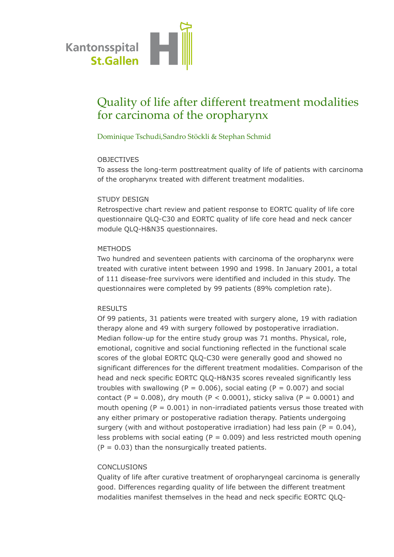

# Quality of life after different treatment modalities for carcinoma of the oropharynx

## Dominique Tschudi,Sandro Stöckli & Stephan Schmid

#### OBJECTIVES

To assess the long-term posttreatment quality of life of patients with carcinoma of the oropharynx treated with different treatment modalities.

#### STUDY DESIGN

Retrospective chart review and patient response to EORTC quality of life core questionnaire QLQ-C30 and EORTC quality of life core head and neck cancer module QLQ-H&N35 questionnaires.

## METHODS

Two hundred and seventeen patients with carcinoma of the oropharynx were treated with curative intent between 1990 and 1998. In January 2001, a total of 111 disease-free survivors were identified and included in this study. The questionnaires were completed by 99 patients (89% completion rate).

## RESULTS

Of 99 patients, 31 patients were treated with surgery alone, 19 with radiation therapy alone and 49 with surgery followed by postoperative irradiation. Median follow-up for the entire study group was 71 months. Physical, role, emotional, cognitive and social functioning reflected in the functional scale scores of the global EORTC QLQ-C30 were generally good and showed no significant differences for the different treatment modalities. Comparison of the head and neck specific EORTC QLQ-H&N35 scores revealed significantly less troubles with swallowing (P = 0.006), social eating (P = 0.007) and social contact (P =  $0.008$ ), dry mouth (P <  $0.0001$ ), sticky saliva (P =  $0.0001$ ) and mouth opening ( $P = 0.001$ ) in non-irradiated patients versus those treated with any either primary or postoperative radiation therapy. Patients undergoing surgery (with and without postoperative irradiation) had less pain ( $P = 0.04$ ), less problems with social eating ( $P = 0.009$ ) and less restricted mouth opening  $(P = 0.03)$  than the nonsurgically treated patients.

## **CONCLUSIONS**

Quality of life after curative treatment of oropharyngeal carcinoma is generally good. Differences regarding quality of life between the different treatment modalities manifest themselves in the head and neck specific EORTC QLQ-